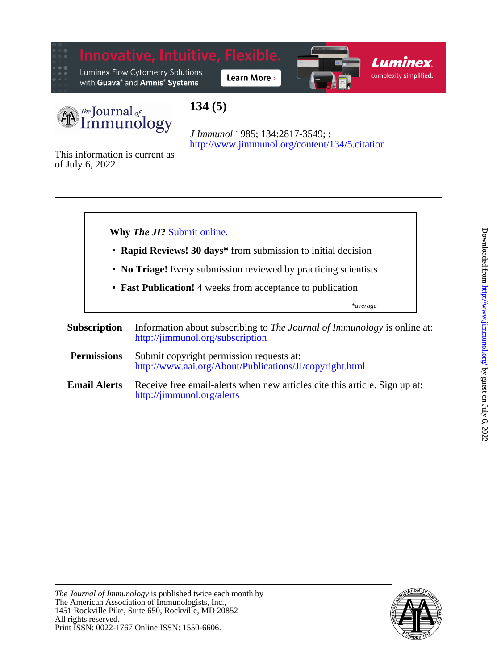



# **134 (5)**

<http://www.jimmunol.org/content/134/5.citation> *J Immunol* 1985; 134:2817-3549; ;

of July 6, 2022. This information is current as



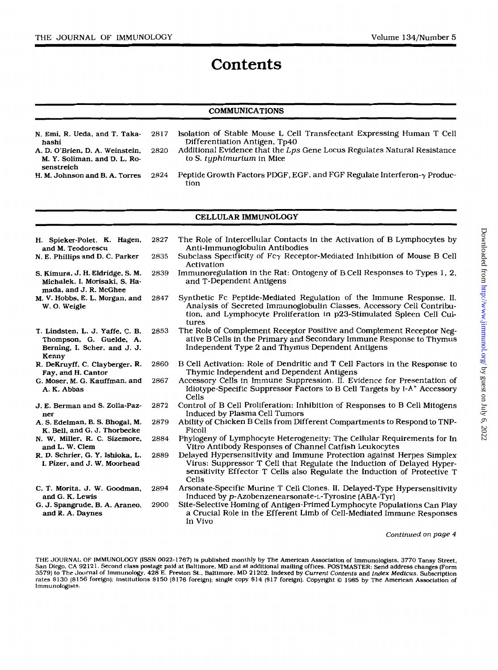## **Contents**

## $\mathbf C$ OMMUNICATIONS

| N. Emi. R. Ueda. and T. Taka-   | 2817 | Isolation of Stable Mouse L Cell Transfectant Expressing Human T Cell           |
|---------------------------------|------|---------------------------------------------------------------------------------|
| hashi                           |      | Differentiation Antigen, Tp40                                                   |
| A. D. O'Brien, D. A. Weinstein, | 2820 | Additional Evidence that the Lps Gene Locus Regulates Natural Resistance        |
| M. Y. Soliman, and D. L. Ro-    |      | to S. tuphimurium in Mice                                                       |
| senstreich                      |      |                                                                                 |
| H. M. Johnson and B. A. Torres  | 2824 | Peptide Growth Factors PDGF, EGF, and FGF Regulate Interferon- $\gamma$ Produc- |
|                                 |      | tion                                                                            |

#### **CELLULAR IMMUNOLOGY**

| H. Spieker-Polet, K. Hagen,<br>and M. Teodorescu                                                    | 2827 | The Role of Intercellular Contacts in the Activation of B Lymphocytes by<br>Anti-Immunoglobulin Antibodies                                                                                                                           |
|-----------------------------------------------------------------------------------------------------|------|--------------------------------------------------------------------------------------------------------------------------------------------------------------------------------------------------------------------------------------|
| N. E. Phillips and D. C. Parker                                                                     | 2835 | Subclass Specificity of $Fc\gamma$ Receptor-Mediated Inhibition of Mouse B Cell<br>Activation                                                                                                                                        |
| S. Kimura, J. H. Eldridge, S. M.<br>Michalek, I. Morisaki, S. Ha-<br>mada, and J. R. McGhee         | 2839 | Immunoregulation in the Rat: Ontogeny of B Cell Responses to Types 1, 2,<br>and T-Dependent Antigens                                                                                                                                 |
| M. V. Hobbs, E. L. Morgan, and<br>W. O. Weigle                                                      | 2847 | Synthetic Fc Peptide-Mediated Regulation of the Immune Response. II.<br>Analysis of Secreted Immunoglobulin Classes, Accessory Cell Contribu-<br>tion, and Lymphocyte Proliferation in p23-Stimulated Spleen Cell Cul-<br>tures      |
| T. Lindsten, L. J. Yaffe, C. B.<br>Thompson, G. Guelde, A.<br>Berning, I. Scher, and J. J.<br>Kenny | 2853 | The Role of Complement Receptor Positive and Complement Receptor Neg-<br>ative B Cells in the Primary and Secondary Immune Response to Thymus<br>Independent Type 2 and Thymus Dependent Antigens                                    |
| R. DeKruyff, C. Clayberger, R.<br>Fay, and H. Cantor                                                | 2860 | B Cell Activation: Role of Dendritic and T Cell Factors in the Response to<br>Thymic Independent and Dependent Antigens                                                                                                              |
| G. Moser, M. G. Kauffman, and<br>A. K. Abbas                                                        | 2867 | Accessory Cells in Immune Suppression. II. Evidence for Presentation of<br>Idiotype-Specific Suppressor Factors to B Cell Targets by I-A <sup>+</sup> Accessory<br>Cells                                                             |
| J. E. Berman and S. Zolla-Paz-<br>ner                                                               | 2872 | Control of B Cell Proliferation: Inhibition of Responses to B Cell Mitogens<br>Induced by Plasma Cell Tumors                                                                                                                         |
| A. S. Edelman, B. S. Bhogal, M.<br>K. Bell, and G. J. Thorbecke                                     | 2879 | Ability of Chicken B Cells from Different Compartments to Respond to TNP-<br>Ficoll                                                                                                                                                  |
| N. W. Miller, R. C. Sizemore,<br>and L. W. Clem                                                     | 2884 | Phylogeny of Lymphocyte Heterogeneity: The Cellular Requirements for In<br>Vitro Antibody Responses of Channel Catfish Leukocytes                                                                                                    |
| R. D. Schrier, G. Y. Ishioka, L.<br>I. Pizer, and J. W. Moorhead                                    | 2889 | Delayed Hypersensitivity and Immune Protection against Herpes Simplex<br>Virus: Suppressor T Cell that Regulate the Induction of Delayed Hyper-<br>sensitivity Effector T Cells also Regulate the Induction of Protective T<br>Cells |
| C. T. Morita, J. W. Goodman,<br>and G. K. Lewis                                                     | 2894 | Arsonate-Specific Murine T Cell Clones. II. Delayed-Type Hypersensitivity<br>Induced by p-Azobenzenearsonate-L-Tyrosine (ABA-Tyr)                                                                                                    |
| G. J. Spangrude, B. A. Araneo,<br>and R. A. Daynes                                                  | 2900 | Site-Selective Homing of Antigen-Primed Lymphocyte Populations Can Play<br>a Crucial Role in the Efferent Limb of Cell-Mediated Immune Responses<br>In Vivo                                                                          |

*Continued on page 4* 

THE JOURNAL OF IMMUNOLOGY (ISSN 0022-1767) is published monthly by The American Association of Immunologists, 3770 Tansy Street,<br>San Diego, CA 92121. Second class postage paid at Baltimore. MD and at additional mailing off Immunologists.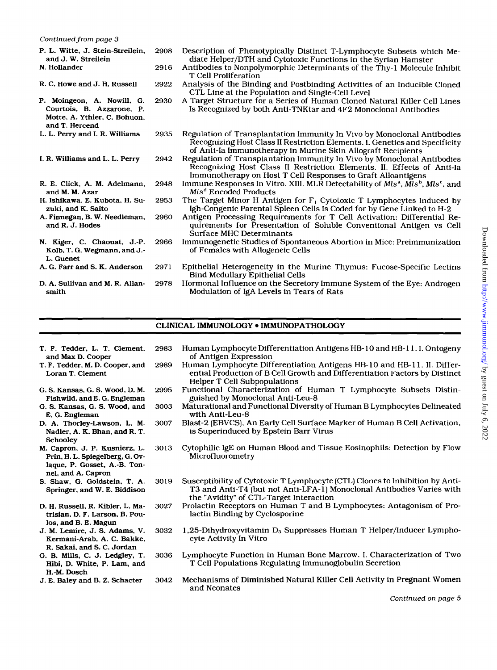*Continued* **from** *page* **3** 

| P. L. Witte, J. Stein-Streilein,<br>and J. W. Streilein<br>N. Hollander                                   | 2908<br>2916 | Description of Phenotypically Distinct T-Lymphocyte Subsets which Me-<br>diate Helper/DTH and Cytotoxic Functions in the Syrian Hamster<br>Antibodies to Nonpolymorphic Determinants of the Thy-1 Molecule Inhibit<br>T Cell Proliferation |
|-----------------------------------------------------------------------------------------------------------|--------------|--------------------------------------------------------------------------------------------------------------------------------------------------------------------------------------------------------------------------------------------|
| R. C. Howe and J. H. Russell                                                                              | 2922         | Analysis of the Binding and Postbinding Activities of an Inducible Cloned<br>CTL Line at the Population and Single-Cell Level                                                                                                              |
| P. Moingeon, A. Nowill, G.<br>Courtois, B. Azzarone, P.<br>Motte, A. Ythier, C. Bohuon,<br>and T. Hercend | 2930         | A Target Structure for a Series of Human Cloned Natural Killer Cell Lines<br>Is Recognized by both Anti-TNKtar and 4F2 Monoclonal Antibodies                                                                                               |
| L. L. Perry and I. R. Williams                                                                            | 2935         | Regulation of Transplantation Immunity In Vivo by Monoclonal Antibodies<br>Recognizing Host Class II Restriction Elements. I. Genetics and Specificity<br>of Anti-Ia Immunotherapy in Murine Skin Allograft Recipients                     |
| I. R. Williams and L. L. Perry                                                                            | 2942         | Regulation of Transplantation Immunity In Vivo by Monoclonal Antibodies<br>Recognizing Host Class II Restriction Elements. II. Effects of Anti-Ia<br>Immunotherapy on Host T Cell Responses to Graft Alloantigens                          |
| R. E. Click, A. M. Adelmann,<br>and M. M. Azar                                                            | 2948         | Immune Responses In Vitro. XIII. MLR Detectability of Mls <sup>a</sup> , Mls <sup>b</sup> , Mls <sup>c</sup> , and<br>Mis <sup>d</sup> Encoded Products                                                                                    |
| H. Ishikawa, E. Kubota, H. Su-<br>zuki, and K. Saito                                                      | 2953         | The Target Minor H Antigen for $F_1$ Cytotoxic T Lymphocytes Induced by<br>Igh-Congenic Parental Spleen Cells Is Coded for by Gene Linked to H-2                                                                                           |
| A. Finnegan, B. W. Needleman,<br>and R. J. Hodes                                                          | 2960         | Antigen Processing Requirements for T Cell Activation: Differential Re-<br>quirements for Presentation of Soluble Conventional Antigen vs Cell<br>Surface MHC Determinants                                                                 |
| N. Kiger, C. Chaouat, J.-P.<br>Kolb, T. G. Wegmann, and J.-<br>L. Guenet                                  | 2966         | Immunogenetic Studies of Spontaneous Abortion in Mice: Preimmunization<br>of Females with Allogeneic Cells                                                                                                                                 |
| A. G. Farr and S. K. Anderson                                                                             | 2971         | Epithelial Heterogeneity in the Murine Thymus: Fucose-Specific Lectins<br><b>Bind Medullary Epithelial Cells</b>                                                                                                                           |
| D. A. Sullivan and M. R. Allan-<br>smith                                                                  | 2978         | Hormonal Influence on the Secretory Immune System of the Eye: Androgen<br>Modulation of IgA Levels in Tears of Rats                                                                                                                        |

## CLINICAL IMMUNOLOGY . IMMUNOPATHOLOGY

| T. F. Tedder, L. T. Clement,<br>and Max D. Cooper                                                                      | 2983 | Human Lymphocyte Differentiation Antigens HB-10 and HB-11. I. Ontogeny<br>of Antigen Expression                                                                                                  |
|------------------------------------------------------------------------------------------------------------------------|------|--------------------------------------------------------------------------------------------------------------------------------------------------------------------------------------------------|
| T. F. Tedder, M. D. Cooper, and<br>Loran T. Clement                                                                    | 2989 | Human Lymphocyte Differentiation Antigens HB-10 and HB-11. II. Differ-<br>ential Production of B Cell Growth and Differentiation Factors by Distinct<br><b>Helper T Cell Subpopulations</b>      |
| G. S. Kansas, G. S. Wood, D. M.<br>Fishwild, and E. G. Engleman                                                        | 2995 | Functional Characterization of Human T Lymphocyte Subsets Distin-<br>guished by Monoclonal Anti-Leu-8                                                                                            |
| G. S. Kansas, G. S. Wood, and<br>E. G. Engleman                                                                        | 3003 | Maturational and Functional Diversity of Human B Lymphocytes Delineated<br>with Anti-Leu-8                                                                                                       |
| D. A. Thorley-Lawson, L. M.<br>Nadler, A. K. Bhan, and R. T.<br>Schooley                                               | 3007 | Blast-2 (EBVCS), An Early Cell Surface Marker of Human B Cell Activation,<br>is Superinduced by Epstein Barr Virus                                                                               |
| M. Capron, J. P. Kusnierz, L.<br>Prin, H. L. Spiegelberg, G. Ov-<br>laque, P. Gosset, A.-B. Ton-<br>nel, and A. Capron | 3013 | Cytophilic IgE on Human Blood and Tissue Eosinophils: Detection by Flow<br>Microfluorometry                                                                                                      |
| S. Shaw, G. Goldstein, T. A.<br>Springer, and W. E. Biddison                                                           | 3019 | Susceptibility of Cytotoxic T Lymphocyte (CTL) Clones to Inhibition by Anti-<br>T3 and Anti-T4 (but not Anti-LFA-1) Monoclonal Antibodies Varies with<br>the "Avidity" of CTL-Target Interaction |
| D. H. Russell, R. Kibler, L. Ma-<br>trisian, D. F. Larson, B. Pou-<br>los, and B. E. Magun                             | 3027 | Prolactin Receptors on Human T and B Lymphocytes: Antagonism of Pro-<br>lactin Binding by Cyclosporine                                                                                           |
| J. M. Lemire, J. S. Adams, V.<br>Kermani-Arab, A. C. Bakke,<br>R. Sakai, and S. C. Jordan                              | 3032 | 1,25-Dihydroxyvitamin $D_3$ Suppresses Human T Helper/Inducer Lympho-<br>cyte Activity In Vitro                                                                                                  |
| G. B. Mills, C. J. Ledgley, T.<br>Hibi, D. White, P. Lam, and<br>H.-M. Dosch                                           | 3036 | Lymphocyte Function in Human Bone Marrow. I. Characterization of Two<br>T Cell Populations Regulating Immunoglobulin Secretion                                                                   |
| J. E. Baley and B. Z. Schacter                                                                                         | 3042 | Mechanisms of Diminished Natural Killer Cell Activity in Pregnant Women<br>and Neonates                                                                                                          |
|                                                                                                                        |      | Continued on page 5                                                                                                                                                                              |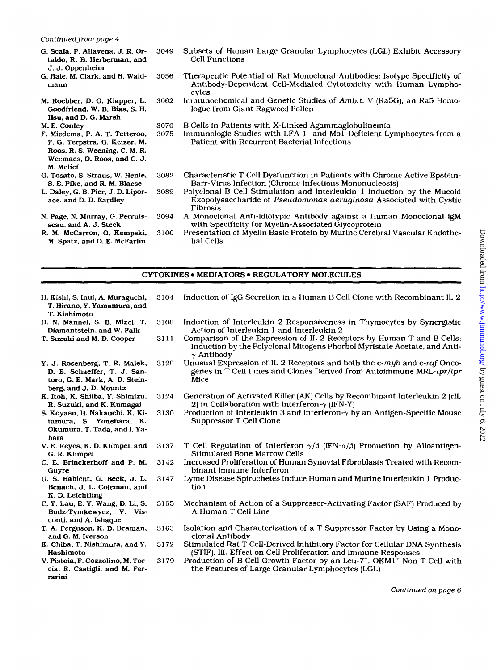#### *Continued from page 4*

- *G.* Scala, P. Allavena. J. R. Ortaldo, R. B. Herberman, and J. J. Oppenheim
- **G.** Hale, M. Clark, and H. Waldmann 3056

3049

3070

- M. Roebber. D. *G.* Klapper, L. Goodfriend, W. B. Bias, *S.* **H.**  Hsu, and D. *G.* Marsh 3062
- M. E. Conley
- F. Miedema, P. **A.** T. Tetteroo, F. *G.* Terpstra, *G.* Keizer, M. Roos, R. *S.* Weening, C. M. R. Weemaes. D. Roos, and C. J. **M.** Melief
- *G.* Tosato, *S.* Straus, W. Henle, *S.* E. Pike, and R. **M.** Blaese 3082
- L. Daley, **G.** B. Pier, J. D. Liporace, and D. D. Eardley 3089
- **N.** Page, **N.** Murray, **G.** Perruisseau, and **A.** J. Steck 3094
- R. M. McCarron, **0.** Kempski, M. Spatz, and D. E. McFarlin 3100
- Subsets of Human Large Granular Lymphocytes (LGL) Exhibit Accessory Cell Functions
- Therapeutic Potential of Rat Monoclonal Antibodies: Isotype Specificity of Antibody-Dependent Cell-Mediated Cytotoxicity with Human Lymphocytes
- Immunochemical and Genetic Studies of Amb.t. V (Ra5G), an Ra5 Homologue from Giant Ragweed Pollen
- **B** Cells in Patients with X-Linked Agammaglobulinemia
- 3075 Immunologic Studies with LFA-1- and Mol-Deficient Lymphocytes from a Patient with Recurrent Bacterial Infections
	- Characteristic T Cell Dysfunction in Patients with Chronic Active Epstein-Barr-Virus Infection (Chronic Infectious Mononucleosis)
	- Polyclonal B Cell Stimulation and Interleukin **1** Induction by the Mucoid Exopolysaccharide of Pseudomonas aeruginosa Associated with Cystic Fibrosis
	- A Monoclonal Anti-Idiotypic Antibody against a Human Monoclonal IgM with Specificity for Myelin-Associated Glycoprotein
	- Presentation of Myelin Basic Protein by Murine Cerebral Vascular Endothelial Cells

#### **CYTOKINES • MEDIATORS • REGULATORY MOLECULES**

- **H.** Kishi. *S.* Inui, A. Muraguchi. T. Hirano, *Y.* Yamamura. and T. Kishimoto 3104
- D. **N.** Mannel, *S.* B. Mizel. T. Diamantstein, and W. Falk 3108 3111
- T. Suzuki and M. D. Cooper
- Y. J. Rosenberg, T. R. Malek, D. E. Schaeffer, T. J. Santoro, *G.* E. Mark, A. D. Steinberg, and J. D. Mountz 3120
- K. Itoh, **K.** Shiiba, **Y.** Shimizu, R. Suzuki, and K. Kumagai 3124
- *S.* Koyasu, H. Nakauchi. K. Kitamura. *S.* Yonehara. K. Okumura, T. Tada, and **I.** Yahara
- **V.** E. Reyes, **K. D.** Klimpel, and *G.* R. Klimpel 3137
- C. E. Brinckerhoff and P. **M.**  Guyre 3142
- *G. S.* Habicht, **G.** Beck, **J.** L. Benach, J. L. Coleman, and K. D. Leichtling 3147
- C. Y. Lau, **E.** Y. Wang, D. Li. *S.*  Budz-Tymkewycz, V. Visconti, and **A.** Ishaque 3155
- T. A. Ferguson. K. D. Beaman, and *G.* M. Iverson 3163
- **K.** Chiba. T. Nishimura, and Y. Hashimoto 3172
- **V.** Pistoia, F. Cozzolino. M. **Tor**cia, E. Castigli, and M. Ferrarini 3179
- Induction of Interleukin 2 Responsiveness in Thymocytes by Synergistic Action of Interleukin 1 and Interleukin 2
	- Comparison of the Expression of IL 2 Receptors by Human T and B Cells: Induction by the Polyclonal Mitogens Phorbol Myristate Acetate, and Anti- $\gamma$  Antibody
- Unusual Expression of IL 2 Receptors and both the c-myb and c-raf Oncogenes in  $\overline{T}$  Cell Lines and Clones Derived from Autoimmune MRL-lpr/lpr Mice
- Generation of Activated Killer (AK) Cells by Recombinant Interleukin 2 (rIL 2) in Collaboration with Interferon- $\gamma$  (IFN-Y)
- 3130 Production of Interleukin 3 and Interferon- $\gamma$  by an Antigen-Specific Mouse Suppressor T Cell Clone
	- T Cell Regulation of Interferon  $\gamma/\beta$  (IFN- $\alpha/\beta$ ) Production by Alloantigen-Stimulated Bone Marrow Cells
	- Increased Proliferation of Human Synovial Fibroblasts Treated with Recombinant Immune Interferon
	- Lyme Disease Spirochetes Induce Human and Murine Interleukin 1 Production
	- Mechanism of Action of a Suppressor-Activating Factor (SAF) Produced by A Human T Cell Line
	- Isolation and Characterization of a T Suppressor Factor by Using a Monoclonal Antibody
	- Stimulated Rat T Cell-Derived Inhibitory Factor for Cellular DNA Synthesis (STIF). **111.** Effect on Cell Proliferation and Immune Responses
	- Production of **B** Cell Growth Factor by an Leu-7+, OKM1' Non-T Cell with the Features of Large Granular Lymphocytes (LGL)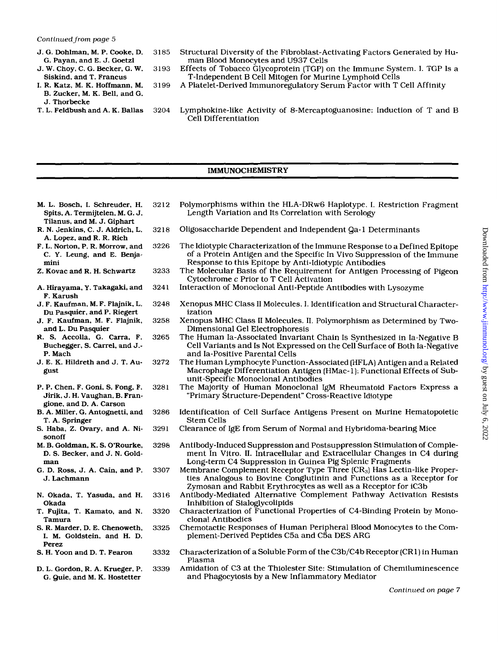- 
- 
- **B.** Zucker, M. K. Bell, and G.
- J. Thorbecke<br>T. L. Feldbush and A. K. Ballas
- J. G. Dohlman. M. P. Cooke, D. 3185 Structural Diversity of the Fibroblast-Activating Factors Generated by Human Blood Monocytes and U937 Cells
- J. **W.** Choy, C. G. Becker. G. **W.** 3193 Effects of Tobacco Glycoprotein (TGP) on the Immune System. I. TGP Is a T-Independent B Cell Mitogen for Murine Lymphoid Cells
- **I.** R. Katz, M. K. Hoffmann, M. 3199 A Platelet-Derived Immunoregulatory Serum Factor with T Cell Affinity
	- 3204 Lymphokine-like Activity of 8-Mercaptoguanosine: Induction of T and B Cell Differentiation

#### **IMMUNOCHEMISTRY**

M. **L.** Bosch. **I.** Schreuder, **H.**  Spits, A. Termijtelen. M. G. J. Tilanus, and M. J. Giphart 3212

> 3218 3226

3233

- R. N. Jenkins, C. J. Aldrich. L. A. Lopez, and R. R. Rich
- F. L. Norton, P. R. Morrow, and C. **Y.** Leung. and E. Benjamini
- **2.** Kovac and R. H. Schwartz
- A. Hirayama, **Y.** Takagaki, and F. Karush 324 1
- J. F. Kaufman, M. F. Flajnik. L. Du Pasquier. and P. Riegert 3248
- **J.** F. Kaufman. M. F. Flajnik, and L. Du Pasquier 3258
- R. *S.* Accolla, G. Carra. F. Buchegger, *S.* Carrel, and J.- P. Mach 3265
- J. E. K. Hildreth and J. T. August 3272
- P. P. Chen. F. Coni. *S.* Fong, F. Jirik, J. **H.** Vaughan, B. Frangione, and D. A. Carson 328 **<sup>1</sup>**
- B. A. Miller, G. Antognetti, and T. A. Springer 3286
- *S.* Haba, *2.* Ovary, and A. Nisonoff 329 **<sup>1</sup>**
- M. B. Goldman, K. *S.* O'Rourke, D. *S.* Becker, and J. N. Goldman 3298
- G. D. Ross, J. A. Cain, and P. J. Lachmann 3307
- N. Okada. T. Yasuda. and H. Okada 3316
- T. Fujita, T. Kamato. and N. Tamura 3320
- *S.* R. Marder. D. E. Chenoweth. **I.** M. Goldstein, and H. D. Perez *S.* **H.** Yoon and D. T. Fearon 3325
- 3332
- D. L. Gordon. R. A. Krueger, P. G. Quie, and M. K. Hostetter 3339
- Polymorphisms within the HLA-DRw6 Haplotype. I. Restriction Fragment Length Variation and Its Correlation with Serology
- Oligosaccharide Dependent and Independent **Qa-** 1 Determinants
- The Idiotypic Characterization of the Immune Response to a Defined Epitope of a Protein Antigen and the Specific In Vivo Suppression of the Immune Response to this Epitope by Anti-Idiotypic Antibodies
- The Molecular Basis of the Requirement for Antigen Processing of Pigeon Cytochrome *c* Prior to T Cell Activation
- Interaction of Monoclonal Anti-Peptide Antibodies with Lysozyme
- Xenopus MHC Class I1 Molecules. I. Identification and Structural Characterization
- Xenopus MHC Class I1 Molecules. 11. Polymorphism as Determined by Two-Dimensional Gel Electrophoresis
- The Human Ia-Associated Invariant Chain Is Synthesized in Ia-Negative **B**  Cell Variants and Is Not Expressed on the Cell Surface **of** Both Ia-Negative and Ia-Positive Parental Cells
- The Human Lymphocyte Function-Associated (HFLA) Antigen and a Related Macrophage Differentiation Antigen (HMac-1): Functional Effects of Subunit-Specific Monoclonal Antibodies
- The Majority of Human Monoclonal IgM Rheumatoid Factors Express a "Primary Structure-Dependent" Cross-Reactive Idiotype
- Identification of Cell Surface Antigens Present on Murine Hematopoietic Stem Cells
- Clearance of IgE from Serum of Normal and Hybridoma-bearing Mice
- Antibody-Induced Suppression and Postsuppression Stimulation of Complement In Vitro. 11. Intracellular and Extracellular Changes in C4 during Long-term C4 Suppression in Guinea Pig Splenic Fragments
- Membrane Complement Receptor Type Three (CR,) Has Lectin-like Properties Analogous to Bovine Conglutinin and Functions **as** a Receptor for Zymosan and Rabbit Erythrocytes as well as a Receptor for iC3b
- Antibody-Mediated Alternative Complement Pathway Activation Resists Inhibition of Sialoglycolipids
- Characterization of Functional Properties of C4-Binding Protein by Monoclonal Antibodies
- Chemotactic Responses of Human Peripheral Blood Monocytes to the Complement-Derived Peptides C5a and C5a DES ARC
- Characterization of a Soluble Form of the C3b/C4b Receptor (CR1) in Human Plasma
- Amidation of C3 at the Thiolester Site: Stimulation of Chemiluminescence and Phagocytosis by a New Inflammatory Mediator

*Continued on page 7*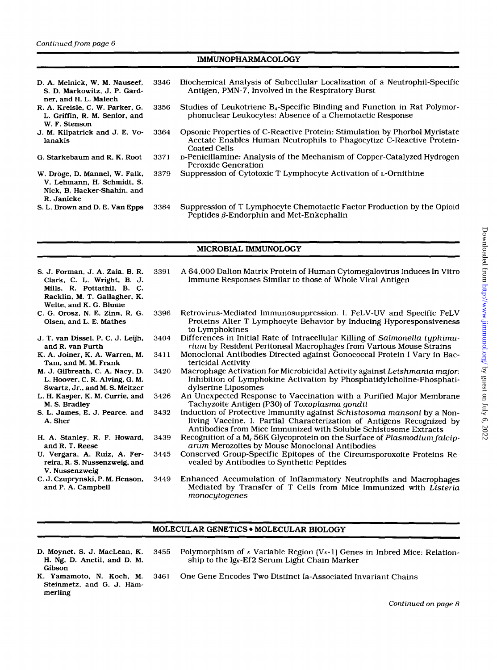## IMMUNOPHARMACOLOGY

| D. A. Melnick, W. M. Nauseef,<br>S. D. Markowitz, J. P. Gard-<br>ner, and H. L. Malech                   | 3346 | Biochemical Analysis of Subcellular Localization of a Neutrophil-Specific<br>Antigen, PMN-7, Involved in the Respiratory Burst                                            |
|----------------------------------------------------------------------------------------------------------|------|---------------------------------------------------------------------------------------------------------------------------------------------------------------------------|
| R. A. Kreisle, C. W. Parker, G.<br>L. Griffin, R. M. Senior, and<br>W. F. Stenson                        | 3356 | Studies of Leukotriene B <sub>4</sub> -Specific Binding and Function in Rat Polymor-<br>phonuclear Leukocytes: Absence of a Chemotactic Response                          |
| J. M. Kilpatrick and J. E. Vo-<br>lanakis                                                                | 3364 | Opsonic Properties of C-Reactive Protein: Stimulation by Phorbol Myristate<br>Acetate Enables Human Neutrophils to Phagocytize C-Reactive Protein-<br><b>Coated Cells</b> |
| G. Starkebaum and R. K. Root                                                                             | 3371 | D-Penicillamine: Analysis of the Mechanism of Copper-Catalyzed Hydrogen<br>Peroxide Generation                                                                            |
| W. Dröge, D. Mannel, W. Falk,<br>V. Lehmann, H. Schmidt, S.<br>Nick, B. Hacker-Shahin, and<br>R. Janicke | 3379 | Suppression of Cytotoxic T Lymphocyte Activation of L-Ornithine                                                                                                           |
| S. L. Brown and D. E. Van Epps                                                                           | 3384 | Suppression of T Lymphocyte Chemotactic Factor Production by the Opioid<br>Peptides $\beta$ -Endorphin and Met-Enkephalin                                                 |

#### MICROBIAL IMMUNOLOGY

| S. J. Forman, J. A. Zaia, B. R.<br>Clark, C. L. Wright, B. J.<br>Mills, R. Pottathil, B. C.<br>Racklin, M. T. Gallagher, K.<br>Welte, and K. G. Blume | 3391 | A 64,000 Dalton Matrix Protein of Human Cytomegalovirus Induces In Vitro<br>Immune Responses Similar to those of Whole Viral Antigen                                                                                |
|-------------------------------------------------------------------------------------------------------------------------------------------------------|------|---------------------------------------------------------------------------------------------------------------------------------------------------------------------------------------------------------------------|
| C. G. Orosz, N. E. Zinn, R. G.<br>Olsen, and L. E. Mathes                                                                                             | 3396 | Retrovirus-Mediated Immunosuppression. I. FeLV-UV and Specific FeLV<br>Proteins Alter T Lymphocyte Behavior by Inducing Hyporesponsiveness<br>to Lymphokines                                                        |
| J. T. van Dissel, P. C. J. Leijh,<br>and R. van Furth                                                                                                 | 3404 | Differences in Initial Rate of Intracellular Killing of Salmonella typhimu-<br>rium by Resident Peritoneal Macrophages from Various Mouse Strains                                                                   |
| K. A. Joiner, K. A. Warren, M.<br>Tam, and M. M. Frank                                                                                                | 3411 | Monoclonal Antibodies Directed against Gonococcal Protein I Vary in Bac-<br>tericidal Activity                                                                                                                      |
| M. J. Gilbreath, C. A. Nacy, D.<br>L. Hoover, C. R. Alving, G. M.<br>Swartz, Jr., and M. S. Meltzer                                                   | 3420 | Macrophage Activation for Microbicidal Activity against Leishmania major:<br>Inhibition of Lymphokine Activation by Phosphatidylcholine-Phosphati-<br>dylserine Liposomes                                           |
| L. H. Kasper, K. M. Currie, and<br>M. S. Bradley                                                                                                      | 3426 | An Unexpected Response to Vaccination with a Purified Major Membrane<br>Tachyzoite Antigen (P30) of Toxoplasma gondii                                                                                               |
| S. L. James, E. J. Pearce, and<br>A. Sher                                                                                                             | 3432 | Induction of Protective Immunity against Schistosoma mansoni by a Non-<br>living Vaccine. I. Partial Characterization of Antigens Recognized by<br>Antibodies from Mice Immunized with Soluble Schistosome Extracts |
| H. A. Stanley, R. F. Howard,<br>and R. T. Reese                                                                                                       | 3439 | Recognition of a M <sub>r</sub> 56K Glycoprotein on the Surface of Plasmodium falcip-<br>arum Merozoites by Mouse Monoclonal Antibodies                                                                             |
| U. Vergara, A. Ruiz, A. Fer-<br>reira, R. S. Nussenzweig, and<br>V. Nussenzweig                                                                       | 3445 | Conserved Group-Specific Epitopes of the Circumsporoxoite Proteins Re-<br>vealed by Antibodies to Synthetic Peptides                                                                                                |
| C. J. Czuprynski, P. M. Henson,<br>and P. A. Campbell                                                                                                 | 3449 | Enhanced Accumulation of Inflammatory Neutrophils and Macrophages<br>Mediated by Transfer of T Cells from Mice Immunized with Listeria                                                                              |

#### MOLECULAR GENETICS . MOLECULAR BIOLOGY

*rnonocytogenes* 

| D. Moynet, S. J. MacLean, K. 34 |  |
|---------------------------------|--|
| H. Ng, D. Anctil, and D. M.     |  |
| Gibson                          |  |

- 455 Polymorphism of *k* Variable Region (V<sub>K</sub>-1) Genes in Inbred Mice: Relationship to the Ig<sub>K</sub>-Ef2 Serum Light Chain Marker
- K. Yamamoto, N. Koch, M.<br>Steinmetz, and G. J. Hämmerling
	- 3461 One Gene Encodes Two Distinct Ia-Associated Invariant Chains